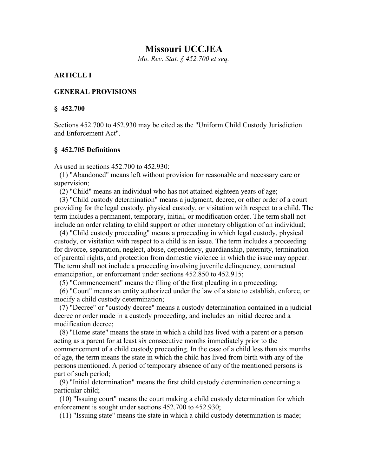# **Missouri UCCJEA**

*Mo. Rev. Stat. § 452.700 et seq.*

### **ARTICLE I**

#### **GENERAL PROVISIONS**

#### **§ 452.700**

Sections 452.700 to 452.930 may be cited as the "Uniform Child Custody Jurisdiction and Enforcement Act".

#### **§ 452.705 Definitions**

As used in sections 452.700 to 452.930:

 (1) "Abandoned" means left without provision for reasonable and necessary care or supervision;

(2) "Child" means an individual who has not attained eighteen years of age;

 (3) "Child custody determination" means a judgment, decree, or other order of a court providing for the legal custody, physical custody, or visitation with respect to a child. The term includes a permanent, temporary, initial, or modification order. The term shall not include an order relating to child support or other monetary obligation of an individual;

 (4) "Child custody proceeding" means a proceeding in which legal custody, physical custody, or visitation with respect to a child is an issue. The term includes a proceeding for divorce, separation, neglect, abuse, dependency, guardianship, paternity, termination of parental rights, and protection from domestic violence in which the issue may appear. The term shall not include a proceeding involving juvenile delinquency, contractual emancipation, or enforcement under sections 452.850 to 452.915;

(5) "Commencement" means the filing of the first pleading in a proceeding;

 (6) "Court" means an entity authorized under the law of a state to establish, enforce, or modify a child custody determination;

 (7) "Decree" or "custody decree" means a custody determination contained in a judicial decree or order made in a custody proceeding, and includes an initial decree and a modification decree;

 (8) "Home state" means the state in which a child has lived with a parent or a person acting as a parent for at least six consecutive months immediately prior to the commencement of a child custody proceeding. In the case of a child less than six months of age, the term means the state in which the child has lived from birth with any of the persons mentioned. A period of temporary absence of any of the mentioned persons is part of such period;

 (9) "Initial determination" means the first child custody determination concerning a particular child;

 (10) "Issuing court" means the court making a child custody determination for which enforcement is sought under sections 452.700 to 452.930;

(11) "Issuing state" means the state in which a child custody determination is made;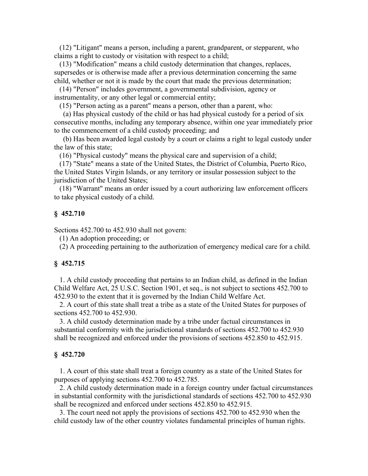(12) "Litigant" means a person, including a parent, grandparent, or stepparent, who claims a right to custody or visitation with respect to a child;

 (13) "Modification" means a child custody determination that changes, replaces, supersedes or is otherwise made after a previous determination concerning the same child, whether or not it is made by the court that made the previous determination;

 (14) "Person" includes government, a governmental subdivision, agency or instrumentality, or any other legal or commercial entity;

(15) "Person acting as a parent" means a person, other than a parent, who:

 (a) Has physical custody of the child or has had physical custody for a period of six consecutive months, including any temporary absence, within one year immediately prior to the commencement of a child custody proceeding; and

 (b) Has been awarded legal custody by a court or claims a right to legal custody under the law of this state;

(16) "Physical custody" means the physical care and supervision of a child;

 (17) "State" means a state of the United States, the District of Columbia, Puerto Rico, the United States Virgin Islands, or any territory or insular possession subject to the jurisdiction of the United States;

 (18) "Warrant" means an order issued by a court authorizing law enforcement officers to take physical custody of a child.

#### **§ 452.710**

Sections 452.700 to 452.930 shall not govern:

(1) An adoption proceeding; or

(2) A proceeding pertaining to the authorization of emergency medical care for a child.

#### **§ 452.715**

 1. A child custody proceeding that pertains to an Indian child, as defined in the Indian Child Welfare Act, 25 U.S.C. Section 1901, et seq., is not subject to sections 452.700 to 452.930 to the extent that it is governed by the Indian Child Welfare Act.

 2. A court of this state shall treat a tribe as a state of the United States for purposes of sections 452.700 to 452.930.

 3. A child custody determination made by a tribe under factual circumstances in substantial conformity with the jurisdictional standards of sections 452.700 to 452.930 shall be recognized and enforced under the provisions of sections 452.850 to 452.915.

#### **§ 452.720**

 1. A court of this state shall treat a foreign country as a state of the United States for purposes of applying sections 452.700 to 452.785.

 2. A child custody determination made in a foreign country under factual circumstances in substantial conformity with the jurisdictional standards of sections 452.700 to 452.930 shall be recognized and enforced under sections 452.850 to 452.915.

 3. The court need not apply the provisions of sections 452.700 to 452.930 when the child custody law of the other country violates fundamental principles of human rights.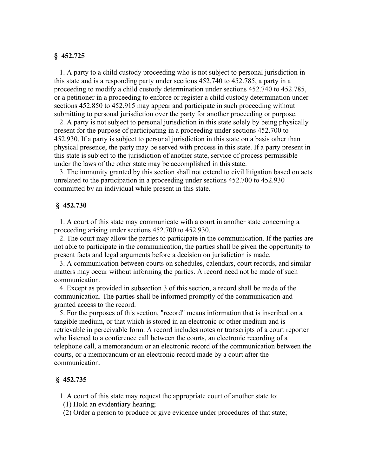### **§ 452.725**

 1. A party to a child custody proceeding who is not subject to personal jurisdiction in this state and is a responding party under sections 452.740 to 452.785, a party in a proceeding to modify a child custody determination under sections 452.740 to 452.785, or a petitioner in a proceeding to enforce or register a child custody determination under sections 452.850 to 452.915 may appear and participate in such proceeding without submitting to personal jurisdiction over the party for another proceeding or purpose.

 2. A party is not subject to personal jurisdiction in this state solely by being physically present for the purpose of participating in a proceeding under sections 452.700 to 452.930. If a party is subject to personal jurisdiction in this state on a basis other than physical presence, the party may be served with process in this state. If a party present in this state is subject to the jurisdiction of another state, service of process permissible under the laws of the other state may be accomplished in this state.

 3. The immunity granted by this section shall not extend to civil litigation based on acts unrelated to the participation in a proceeding under sections 452.700 to 452.930 committed by an individual while present in this state.

#### **§ 452.730**

 1. A court of this state may communicate with a court in another state concerning a proceeding arising under sections 452.700 to 452.930.

 2. The court may allow the parties to participate in the communication. If the parties are not able to participate in the communication, the parties shall be given the opportunity to present facts and legal arguments before a decision on jurisdiction is made.

 3. A communication between courts on schedules, calendars, court records, and similar matters may occur without informing the parties. A record need not be made of such communication.

 4. Except as provided in subsection 3 of this section, a record shall be made of the communication. The parties shall be informed promptly of the communication and granted access to the record.

 5. For the purposes of this section, "record" means information that is inscribed on a tangible medium, or that which is stored in an electronic or other medium and is retrievable in perceivable form. A record includes notes or transcripts of a court reporter who listened to a conference call between the courts, an electronic recording of a telephone call, a memorandum or an electronic record of the communication between the courts, or a memorandum or an electronic record made by a court after the communication.

#### **§ 452.735**

1. A court of this state may request the appropriate court of another state to:

(1) Hold an evidentiary hearing;

(2) Order a person to produce or give evidence under procedures of that state;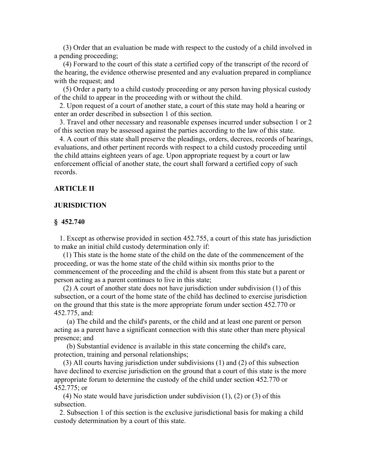(3) Order that an evaluation be made with respect to the custody of a child involved in a pending proceeding;

 (4) Forward to the court of this state a certified copy of the transcript of the record of the hearing, the evidence otherwise presented and any evaluation prepared in compliance with the request; and

 (5) Order a party to a child custody proceeding or any person having physical custody of the child to appear in the proceeding with or without the child.

 2. Upon request of a court of another state, a court of this state may hold a hearing or enter an order described in subsection 1 of this section.

 3. Travel and other necessary and reasonable expenses incurred under subsection 1 or 2 of this section may be assessed against the parties according to the law of this state.

 4. A court of this state shall preserve the pleadings, orders, decrees, records of hearings, evaluations, and other pertinent records with respect to a child custody proceeding until the child attains eighteen years of age. Upon appropriate request by a court or law enforcement official of another state, the court shall forward a certified copy of such records.

## **ARTICLE II**

### **JURISDICTION**

#### **§ 452.740**

 1. Except as otherwise provided in section 452.755, a court of this state has jurisdiction to make an initial child custody determination only if:

 (1) This state is the home state of the child on the date of the commencement of the proceeding, or was the home state of the child within six months prior to the commencement of the proceeding and the child is absent from this state but a parent or person acting as a parent continues to live in this state;

 (2) A court of another state does not have jurisdiction under subdivision (1) of this subsection, or a court of the home state of the child has declined to exercise jurisdiction on the ground that this state is the more appropriate forum under section 452.770 or 452.775, and:

 (a) The child and the child's parents, or the child and at least one parent or person acting as a parent have a significant connection with this state other than mere physical presence; and

 (b) Substantial evidence is available in this state concerning the child's care, protection, training and personal relationships;

 (3) All courts having jurisdiction under subdivisions (1) and (2) of this subsection have declined to exercise jurisdiction on the ground that a court of this state is the more appropriate forum to determine the custody of the child under section 452.770 or 452.775; or

 (4) No state would have jurisdiction under subdivision (1), (2) or (3) of this subsection.

 2. Subsection 1 of this section is the exclusive jurisdictional basis for making a child custody determination by a court of this state.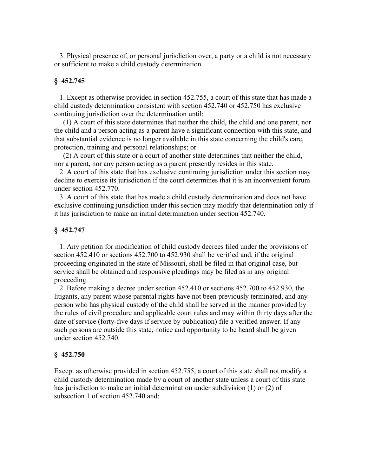3. Physical presence of, or personal jurisdiction over, a party or a child is not necessary or sufficient to make a child custody determination.

### **§ 452.745**

 1. Except as otherwise provided in section 452.755, a court of this state that has made a child custody determination consistent with section 452.740 or 452.750 has exclusive continuing jurisdiction over the determination until:

 (1) A court of this state determines that neither the child, the child and one parent, nor the child and a person acting as a parent have a significant connection with this state, and that substantial evidence is no longer available in this state concerning the child's care, protection, training and personal relationships; or

 (2) A court of this state or a court of another state determines that neither the child, nor a parent, nor any person acting as a parent presently resides in this state.

 2. A court of this state that has exclusive continuing jurisdiction under this section may decline to exercise its jurisdiction if the court determines that it is an inconvenient forum under section 452.770.

 3. A court of this state that has made a child custody determination and does not have exclusive continuing jurisdiction under this section may modify that determination only if it has jurisdiction to make an initial determination under section 452.740.

#### **§ 452.747**

 1. Any petition for modification of child custody decrees filed under the provisions of section 452.410 or sections 452.700 to 452.930 shall be verified and, if the original proceeding originated in the state of Missouri, shall be filed in that original case, but service shall be obtained and responsive pleadings may be filed as in any original proceeding.

 2. Before making a decree under section 452.410 or sections 452.700 to 452.930, the litigants, any parent whose parental rights have not been previously terminated, and any person who has physical custody of the child shall be served in the manner provided by the rules of civil procedure and applicable court rules and may within thirty days after the date of service (forty-five days if service by publication) file a verified answer. If any such persons are outside this state, notice and opportunity to be heard shall be given under section 452.740.

#### **§ 452.750**

Except as otherwise provided in section 452.755, a court of this state shall not modify a child custody determination made by a court of another state unless a court of this state has jurisdiction to make an initial determination under subdivision (1) or (2) of subsection 1 of section 452.740 and: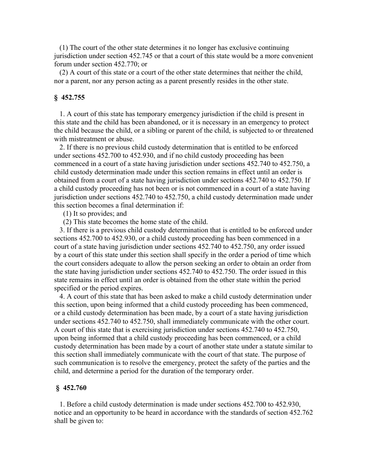(1) The court of the other state determines it no longer has exclusive continuing jurisdiction under section 452.745 or that a court of this state would be a more convenient forum under section 452.770; or

 (2) A court of this state or a court of the other state determines that neither the child, nor a parent, nor any person acting as a parent presently resides in the other state.

#### **§ 452.755**

 1. A court of this state has temporary emergency jurisdiction if the child is present in this state and the child has been abandoned, or it is necessary in an emergency to protect the child because the child, or a sibling or parent of the child, is subjected to or threatened with mistreatment or abuse.

 2. If there is no previous child custody determination that is entitled to be enforced under sections 452.700 to 452.930, and if no child custody proceeding has been commenced in a court of a state having jurisdiction under sections 452.740 to 452.750, a child custody determination made under this section remains in effect until an order is obtained from a court of a state having jurisdiction under sections 452.740 to 452.750. If a child custody proceeding has not been or is not commenced in a court of a state having jurisdiction under sections 452.740 to 452.750, a child custody determination made under this section becomes a final determination if:

(1) It so provides; and

(2) This state becomes the home state of the child.

 3. If there is a previous child custody determination that is entitled to be enforced under sections 452.700 to 452.930, or a child custody proceeding has been commenced in a court of a state having jurisdiction under sections 452.740 to 452.750, any order issued by a court of this state under this section shall specify in the order a period of time which the court considers adequate to allow the person seeking an order to obtain an order from the state having jurisdiction under sections 452.740 to 452.750. The order issued in this state remains in effect until an order is obtained from the other state within the period specified or the period expires.

 4. A court of this state that has been asked to make a child custody determination under this section, upon being informed that a child custody proceeding has been commenced, or a child custody determination has been made, by a court of a state having jurisdiction under sections 452.740 to 452.750, shall immediately communicate with the other court. A court of this state that is exercising jurisdiction under sections 452.740 to 452.750, upon being informed that a child custody proceeding has been commenced, or a child custody determination has been made by a court of another state under a statute similar to this section shall immediately communicate with the court of that state. The purpose of such communication is to resolve the emergency, protect the safety of the parties and the child, and determine a period for the duration of the temporary order.

#### **§ 452.760**

 1. Before a child custody determination is made under sections 452.700 to 452.930, notice and an opportunity to be heard in accordance with the standards of section 452.762 shall be given to: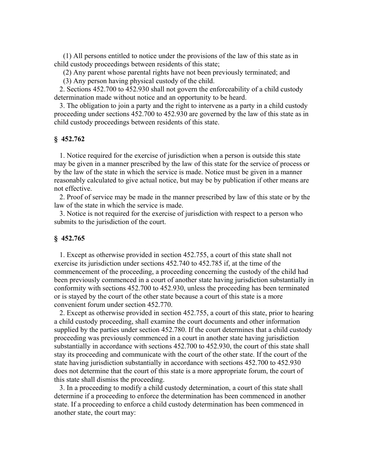(1) All persons entitled to notice under the provisions of the law of this state as in child custody proceedings between residents of this state;

(2) Any parent whose parental rights have not been previously terminated; and

(3) Any person having physical custody of the child.

 2. Sections 452.700 to 452.930 shall not govern the enforceability of a child custody determination made without notice and an opportunity to be heard.

 3. The obligation to join a party and the right to intervene as a party in a child custody proceeding under sections 452.700 to 452.930 are governed by the law of this state as in child custody proceedings between residents of this state.

## **§ 452.762**

 1. Notice required for the exercise of jurisdiction when a person is outside this state may be given in a manner prescribed by the law of this state for the service of process or by the law of the state in which the service is made. Notice must be given in a manner reasonably calculated to give actual notice, but may be by publication if other means are not effective.

 2. Proof of service may be made in the manner prescribed by law of this state or by the law of the state in which the service is made.

 3. Notice is not required for the exercise of jurisdiction with respect to a person who submits to the jurisdiction of the court.

## **§ 452.765**

 1. Except as otherwise provided in section 452.755, a court of this state shall not exercise its jurisdiction under sections 452.740 to 452.785 if, at the time of the commencement of the proceeding, a proceeding concerning the custody of the child had been previously commenced in a court of another state having jurisdiction substantially in conformity with sections 452.700 to 452.930, unless the proceeding has been terminated or is stayed by the court of the other state because a court of this state is a more convenient forum under section 452.770.

 2. Except as otherwise provided in section 452.755, a court of this state, prior to hearing a child custody proceeding, shall examine the court documents and other information supplied by the parties under section 452.780. If the court determines that a child custody proceeding was previously commenced in a court in another state having jurisdiction substantially in accordance with sections 452.700 to 452.930, the court of this state shall stay its proceeding and communicate with the court of the other state. If the court of the state having jurisdiction substantially in accordance with sections 452.700 to 452.930 does not determine that the court of this state is a more appropriate forum, the court of this state shall dismiss the proceeding.

 3. In a proceeding to modify a child custody determination, a court of this state shall determine if a proceeding to enforce the determination has been commenced in another state. If a proceeding to enforce a child custody determination has been commenced in another state, the court may: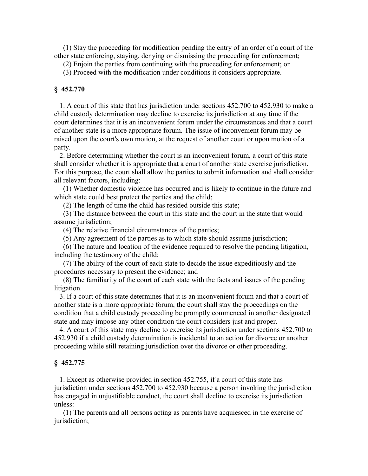(1) Stay the proceeding for modification pending the entry of an order of a court of the other state enforcing, staying, denying or dismissing the proceeding for enforcement;

(2) Enjoin the parties from continuing with the proceeding for enforcement; or

(3) Proceed with the modification under conditions it considers appropriate.

#### **§ 452.770**

 1. A court of this state that has jurisdiction under sections 452.700 to 452.930 to make a child custody determination may decline to exercise its jurisdiction at any time if the court determines that it is an inconvenient forum under the circumstances and that a court of another state is a more appropriate forum. The issue of inconvenient forum may be raised upon the court's own motion, at the request of another court or upon motion of a party.

 2. Before determining whether the court is an inconvenient forum, a court of this state shall consider whether it is appropriate that a court of another state exercise jurisdiction. For this purpose, the court shall allow the parties to submit information and shall consider all relevant factors, including:

 (1) Whether domestic violence has occurred and is likely to continue in the future and which state could best protect the parties and the child;

(2) The length of time the child has resided outside this state;

 (3) The distance between the court in this state and the court in the state that would assume jurisdiction;

(4) The relative financial circumstances of the parties;

(5) Any agreement of the parties as to which state should assume jurisdiction;

 (6) The nature and location of the evidence required to resolve the pending litigation, including the testimony of the child;

 (7) The ability of the court of each state to decide the issue expeditiously and the procedures necessary to present the evidence; and

 (8) The familiarity of the court of each state with the facts and issues of the pending litigation.

 3. If a court of this state determines that it is an inconvenient forum and that a court of another state is a more appropriate forum, the court shall stay the proceedings on the condition that a child custody proceeding be promptly commenced in another designated state and may impose any other condition the court considers just and proper.

 4. A court of this state may decline to exercise its jurisdiction under sections 452.700 to 452.930 if a child custody determination is incidental to an action for divorce or another proceeding while still retaining jurisdiction over the divorce or other proceeding.

#### **§ 452.775**

 1. Except as otherwise provided in section 452.755, if a court of this state has jurisdiction under sections 452.700 to 452.930 because a person invoking the jurisdiction has engaged in unjustifiable conduct, the court shall decline to exercise its jurisdiction unless:

 (1) The parents and all persons acting as parents have acquiesced in the exercise of jurisdiction;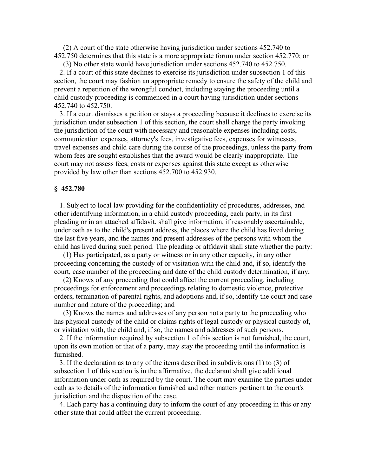(2) A court of the state otherwise having jurisdiction under sections 452.740 to 452.750 determines that this state is a more appropriate forum under section 452.770; or

 (3) No other state would have jurisdiction under sections 452.740 to 452.750. 2. If a court of this state declines to exercise its jurisdiction under subsection 1 of this section, the court may fashion an appropriate remedy to ensure the safety of the child and prevent a repetition of the wrongful conduct, including staying the proceeding until a child custody proceeding is commenced in a court having jurisdiction under sections 452.740 to 452.750.

 3. If a court dismisses a petition or stays a proceeding because it declines to exercise its jurisdiction under subsection 1 of this section, the court shall charge the party invoking the jurisdiction of the court with necessary and reasonable expenses including costs, communication expenses, attorney's fees, investigative fees, expenses for witnesses, travel expenses and child care during the course of the proceedings, unless the party from whom fees are sought establishes that the award would be clearly inappropriate. The court may not assess fees, costs or expenses against this state except as otherwise provided by law other than sections 452.700 to 452.930.

#### **§ 452.780**

 1. Subject to local law providing for the confidentiality of procedures, addresses, and other identifying information, in a child custody proceeding, each party, in its first pleading or in an attached affidavit, shall give information, if reasonably ascertainable, under oath as to the child's present address, the places where the child has lived during the last five years, and the names and present addresses of the persons with whom the child has lived during such period. The pleading or affidavit shall state whether the party:

 (1) Has participated, as a party or witness or in any other capacity, in any other proceeding concerning the custody of or visitation with the child and, if so, identify the court, case number of the proceeding and date of the child custody determination, if any;

 (2) Knows of any proceeding that could affect the current proceeding, including proceedings for enforcement and proceedings relating to domestic violence, protective orders, termination of parental rights, and adoptions and, if so, identify the court and case number and nature of the proceeding; and

 (3) Knows the names and addresses of any person not a party to the proceeding who has physical custody of the child or claims rights of legal custody or physical custody of, or visitation with, the child and, if so, the names and addresses of such persons.

 2. If the information required by subsection 1 of this section is not furnished, the court, upon its own motion or that of a party, may stay the proceeding until the information is furnished.

 3. If the declaration as to any of the items described in subdivisions (1) to (3) of subsection 1 of this section is in the affirmative, the declarant shall give additional information under oath as required by the court. The court may examine the parties under oath as to details of the information furnished and other matters pertinent to the court's jurisdiction and the disposition of the case.

 4. Each party has a continuing duty to inform the court of any proceeding in this or any other state that could affect the current proceeding.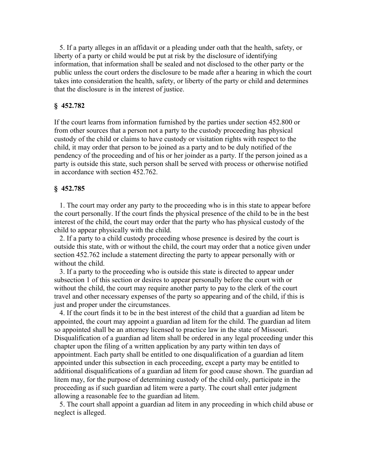5. If a party alleges in an affidavit or a pleading under oath that the health, safety, or liberty of a party or child would be put at risk by the disclosure of identifying information, that information shall be sealed and not disclosed to the other party or the public unless the court orders the disclosure to be made after a hearing in which the court takes into consideration the health, safety, or liberty of the party or child and determines that the disclosure is in the interest of justice.

### **§ 452.782**

If the court learns from information furnished by the parties under section 452.800 or from other sources that a person not a party to the custody proceeding has physical custody of the child or claims to have custody or visitation rights with respect to the child, it may order that person to be joined as a party and to be duly notified of the pendency of the proceeding and of his or her joinder as a party. If the person joined as a party is outside this state, such person shall be served with process or otherwise notified in accordance with section 452.762.

#### **§ 452.785**

 1. The court may order any party to the proceeding who is in this state to appear before the court personally. If the court finds the physical presence of the child to be in the best interest of the child, the court may order that the party who has physical custody of the child to appear physically with the child.

 2. If a party to a child custody proceeding whose presence is desired by the court is outside this state, with or without the child, the court may order that a notice given under section 452.762 include a statement directing the party to appear personally with or without the child.

 3. If a party to the proceeding who is outside this state is directed to appear under subsection 1 of this section or desires to appear personally before the court with or without the child, the court may require another party to pay to the clerk of the court travel and other necessary expenses of the party so appearing and of the child, if this is just and proper under the circumstances.

 4. If the court finds it to be in the best interest of the child that a guardian ad litem be appointed, the court may appoint a guardian ad litem for the child. The guardian ad litem so appointed shall be an attorney licensed to practice law in the state of Missouri. Disqualification of a guardian ad litem shall be ordered in any legal proceeding under this chapter upon the filing of a written application by any party within ten days of appointment. Each party shall be entitled to one disqualification of a guardian ad litem appointed under this subsection in each proceeding, except a party may be entitled to additional disqualifications of a guardian ad litem for good cause shown. The guardian ad litem may, for the purpose of determining custody of the child only, participate in the proceeding as if such guardian ad litem were a party. The court shall enter judgment allowing a reasonable fee to the guardian ad litem.

 5. The court shall appoint a guardian ad litem in any proceeding in which child abuse or neglect is alleged.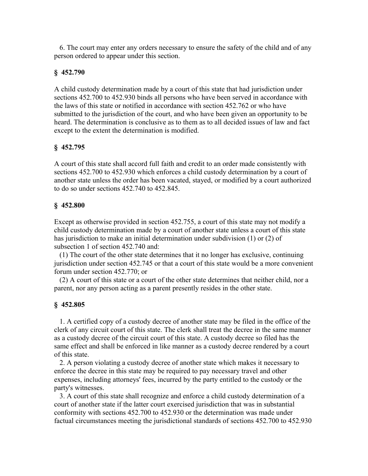6. The court may enter any orders necessary to ensure the safety of the child and of any person ordered to appear under this section.

# **§ 452.790**

A child custody determination made by a court of this state that had jurisdiction under sections 452.700 to 452.930 binds all persons who have been served in accordance with the laws of this state or notified in accordance with section 452.762 or who have submitted to the jurisdiction of the court, and who have been given an opportunity to be heard. The determination is conclusive as to them as to all decided issues of law and fact except to the extent the determination is modified.

# **§ 452.795**

A court of this state shall accord full faith and credit to an order made consistently with sections 452.700 to 452.930 which enforces a child custody determination by a court of another state unless the order has been vacated, stayed, or modified by a court authorized to do so under sections 452.740 to 452.845.

# **§ 452.800**

Except as otherwise provided in section 452.755, a court of this state may not modify a child custody determination made by a court of another state unless a court of this state has jurisdiction to make an initial determination under subdivision (1) or (2) of subsection 1 of section 452.740 and:

 (1) The court of the other state determines that it no longer has exclusive, continuing jurisdiction under section 452.745 or that a court of this state would be a more convenient forum under section 452.770; or

 (2) A court of this state or a court of the other state determines that neither child, nor a parent, nor any person acting as a parent presently resides in the other state.

# **§ 452.805**

 1. A certified copy of a custody decree of another state may be filed in the office of the clerk of any circuit court of this state. The clerk shall treat the decree in the same manner as a custody decree of the circuit court of this state. A custody decree so filed has the same effect and shall be enforced in like manner as a custody decree rendered by a court of this state.

 2. A person violating a custody decree of another state which makes it necessary to enforce the decree in this state may be required to pay necessary travel and other expenses, including attorneys' fees, incurred by the party entitled to the custody or the party's witnesses.

 3. A court of this state shall recognize and enforce a child custody determination of a court of another state if the latter court exercised jurisdiction that was in substantial conformity with sections 452.700 to 452.930 or the determination was made under factual circumstances meeting the jurisdictional standards of sections 452.700 to 452.930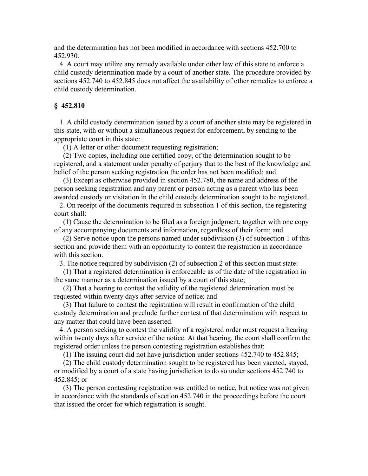and the determination has not been modified in accordance with sections 452.700 to 452.930.

 4. A court may utilize any remedy available under other law of this state to enforce a child custody determination made by a court of another state. The procedure provided by sections 452.740 to 452.845 does not affect the availability of other remedies to enforce a child custody determination.

#### **§ 452.810**

 1. A child custody determination issued by a court of another state may be registered in this state, with or without a simultaneous request for enforcement, by sending to the appropriate court in this state:

(1) A letter or other document requesting registration;

 (2) Two copies, including one certified copy, of the determination sought to be registered, and a statement under penalty of perjury that to the best of the knowledge and belief of the person seeking registration the order has not been modified; and

 (3) Except as otherwise provided in section 452.780, the name and address of the person seeking registration and any parent or person acting as a parent who has been awarded custody or visitation in the child custody determination sought to be registered.

 2. On receipt of the documents required in subsection 1 of this section, the registering court shall:

 (1) Cause the determination to be filed as a foreign judgment, together with one copy of any accompanying documents and information, regardless of their form; and

 (2) Serve notice upon the persons named under subdivision (3) of subsection 1 of this section and provide them with an opportunity to contest the registration in accordance with this section.

3. The notice required by subdivision (2) of subsection 2 of this section must state:

 (1) That a registered determination is enforceable as of the date of the registration in the same manner as a determination issued by a court of this state;

 (2) That a hearing to contest the validity of the registered determination must be requested within twenty days after service of notice; and

 (3) That failure to contest the registration will result in confirmation of the child custody determination and preclude further contest of that determination with respect to any matter that could have been asserted.

 4. A person seeking to contest the validity of a registered order must request a hearing within twenty days after service of the notice. At that hearing, the court shall confirm the registered order unless the person contesting registration establishes that:

(1) The issuing court did not have jurisdiction under sections 452.740 to 452.845;

 (2) The child custody determination sought to be registered has been vacated, stayed, or modified by a court of a state having jurisdiction to do so under sections 452.740 to 452.845; or

 (3) The person contesting registration was entitled to notice, but notice was not given in accordance with the standards of section 452.740 in the proceedings before the court that issued the order for which registration is sought.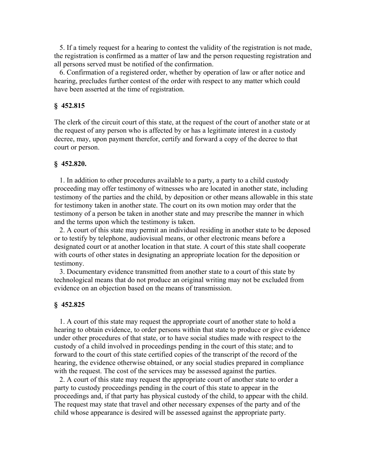5. If a timely request for a hearing to contest the validity of the registration is not made, the registration is confirmed as a matter of law and the person requesting registration and all persons served must be notified of the confirmation.

 6. Confirmation of a registered order, whether by operation of law or after notice and hearing, precludes further contest of the order with respect to any matter which could have been asserted at the time of registration.

### **§ 452.815**

The clerk of the circuit court of this state, at the request of the court of another state or at the request of any person who is affected by or has a legitimate interest in a custody decree, may, upon payment therefor, certify and forward a copy of the decree to that court or person.

#### **§ 452.820.**

 1. In addition to other procedures available to a party, a party to a child custody proceeding may offer testimony of witnesses who are located in another state, including testimony of the parties and the child, by deposition or other means allowable in this state for testimony taken in another state. The court on its own motion may order that the testimony of a person be taken in another state and may prescribe the manner in which and the terms upon which the testimony is taken.

 2. A court of this state may permit an individual residing in another state to be deposed or to testify by telephone, audiovisual means, or other electronic means before a designated court or at another location in that state. A court of this state shall cooperate with courts of other states in designating an appropriate location for the deposition or testimony.

 3. Documentary evidence transmitted from another state to a court of this state by technological means that do not produce an original writing may not be excluded from evidence on an objection based on the means of transmission.

#### **§ 452.825**

 1. A court of this state may request the appropriate court of another state to hold a hearing to obtain evidence, to order persons within that state to produce or give evidence under other procedures of that state, or to have social studies made with respect to the custody of a child involved in proceedings pending in the court of this state; and to forward to the court of this state certified copies of the transcript of the record of the hearing, the evidence otherwise obtained, or any social studies prepared in compliance with the request. The cost of the services may be assessed against the parties.

 2. A court of this state may request the appropriate court of another state to order a party to custody proceedings pending in the court of this state to appear in the proceedings and, if that party has physical custody of the child, to appear with the child. The request may state that travel and other necessary expenses of the party and of the child whose appearance is desired will be assessed against the appropriate party.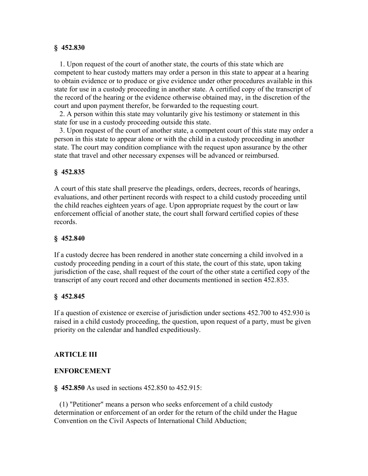## **§ 452.830**

 1. Upon request of the court of another state, the courts of this state which are competent to hear custody matters may order a person in this state to appear at a hearing to obtain evidence or to produce or give evidence under other procedures available in this state for use in a custody proceeding in another state. A certified copy of the transcript of the record of the hearing or the evidence otherwise obtained may, in the discretion of the court and upon payment therefor, be forwarded to the requesting court.

 2. A person within this state may voluntarily give his testimony or statement in this state for use in a custody proceeding outside this state.

 3. Upon request of the court of another state, a competent court of this state may order a person in this state to appear alone or with the child in a custody proceeding in another state. The court may condition compliance with the request upon assurance by the other state that travel and other necessary expenses will be advanced or reimbursed.

## **§ 452.835**

A court of this state shall preserve the pleadings, orders, decrees, records of hearings, evaluations, and other pertinent records with respect to a child custody proceeding until the child reaches eighteen years of age. Upon appropriate request by the court or law enforcement official of another state, the court shall forward certified copies of these records.

### **§ 452.840**

If a custody decree has been rendered in another state concerning a child involved in a custody proceeding pending in a court of this state, the court of this state, upon taking jurisdiction of the case, shall request of the court of the other state a certified copy of the transcript of any court record and other documents mentioned in section 452.835.

## **§ 452.845**

If a question of existence or exercise of jurisdiction under sections 452.700 to 452.930 is raised in a child custody proceeding, the question, upon request of a party, must be given priority on the calendar and handled expeditiously.

## **ARTICLE III**

#### **ENFORCEMENT**

**§ 452.850** As used in sections 452.850 to 452.915:

 (1) "Petitioner" means a person who seeks enforcement of a child custody determination or enforcement of an order for the return of the child under the Hague Convention on the Civil Aspects of International Child Abduction;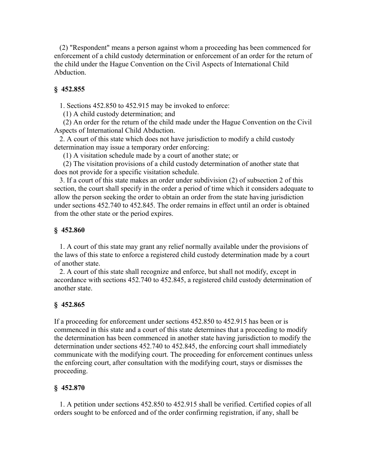(2) "Respondent" means a person against whom a proceeding has been commenced for enforcement of a child custody determination or enforcement of an order for the return of the child under the Hague Convention on the Civil Aspects of International Child Abduction.

# **§ 452.855**

1. Sections 452.850 to 452.915 may be invoked to enforce:

(1) A child custody determination; and

 (2) An order for the return of the child made under the Hague Convention on the Civil Aspects of International Child Abduction.

 2. A court of this state which does not have jurisdiction to modify a child custody determination may issue a temporary order enforcing:

(1) A visitation schedule made by a court of another state; or

 (2) The visitation provisions of a child custody determination of another state that does not provide for a specific visitation schedule.

 3. If a court of this state makes an order under subdivision (2) of subsection 2 of this section, the court shall specify in the order a period of time which it considers adequate to allow the person seeking the order to obtain an order from the state having jurisdiction under sections 452.740 to 452.845. The order remains in effect until an order is obtained from the other state or the period expires.

## **§ 452.860**

 1. A court of this state may grant any relief normally available under the provisions of the laws of this state to enforce a registered child custody determination made by a court of another state.

 2. A court of this state shall recognize and enforce, but shall not modify, except in accordance with sections 452.740 to 452.845, a registered child custody determination of another state.

# **§ 452.865**

If a proceeding for enforcement under sections 452.850 to 452.915 has been or is commenced in this state and a court of this state determines that a proceeding to modify the determination has been commenced in another state having jurisdiction to modify the determination under sections 452.740 to 452.845, the enforcing court shall immediately communicate with the modifying court. The proceeding for enforcement continues unless the enforcing court, after consultation with the modifying court, stays or dismisses the proceeding.

## **§ 452.870**

 1. A petition under sections 452.850 to 452.915 shall be verified. Certified copies of all orders sought to be enforced and of the order confirming registration, if any, shall be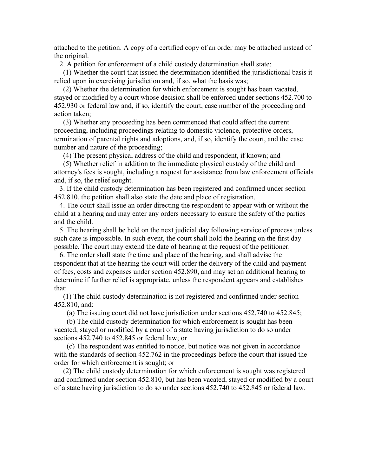attached to the petition. A copy of a certified copy of an order may be attached instead of the original.

2. A petition for enforcement of a child custody determination shall state:

 (1) Whether the court that issued the determination identified the jurisdictional basis it relied upon in exercising jurisdiction and, if so, what the basis was;

 (2) Whether the determination for which enforcement is sought has been vacated, stayed or modified by a court whose decision shall be enforced under sections 452.700 to 452.930 or federal law and, if so, identify the court, case number of the proceeding and action taken;

 (3) Whether any proceeding has been commenced that could affect the current proceeding, including proceedings relating to domestic violence, protective orders, termination of parental rights and adoptions, and, if so, identify the court, and the case number and nature of the proceeding;

(4) The present physical address of the child and respondent, if known; and

 (5) Whether relief in addition to the immediate physical custody of the child and attorney's fees is sought, including a request for assistance from law enforcement officials and, if so, the relief sought.

 3. If the child custody determination has been registered and confirmed under section 452.810, the petition shall also state the date and place of registration.

 4. The court shall issue an order directing the respondent to appear with or without the child at a hearing and may enter any orders necessary to ensure the safety of the parties and the child.

 5. The hearing shall be held on the next judicial day following service of process unless such date is impossible. In such event, the court shall hold the hearing on the first day possible. The court may extend the date of hearing at the request of the petitioner.

 6. The order shall state the time and place of the hearing, and shall advise the respondent that at the hearing the court will order the delivery of the child and payment of fees, costs and expenses under section 452.890, and may set an additional hearing to determine if further relief is appropriate, unless the respondent appears and establishes that:

 (1) The child custody determination is not registered and confirmed under section 452.810, and:

(a) The issuing court did not have jurisdiction under sections 452.740 to 452.845;

 (b) The child custody determination for which enforcement is sought has been vacated, stayed or modified by a court of a state having jurisdiction to do so under sections 452.740 to 452.845 or federal law; or

 (c) The respondent was entitled to notice, but notice was not given in accordance with the standards of section 452.762 in the proceedings before the court that issued the order for which enforcement is sought; or

 (2) The child custody determination for which enforcement is sought was registered and confirmed under section 452.810, but has been vacated, stayed or modified by a court of a state having jurisdiction to do so under sections 452.740 to 452.845 or federal law.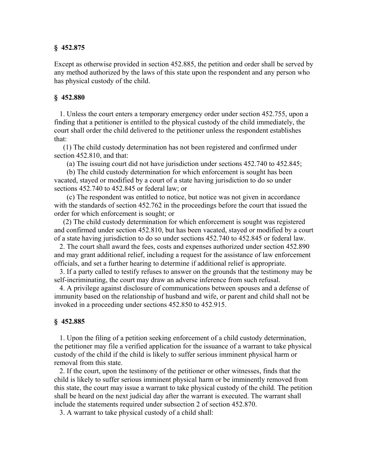### **§ 452.875**

Except as otherwise provided in section 452.885, the petition and order shall be served by any method authorized by the laws of this state upon the respondent and any person who has physical custody of the child.

#### **§ 452.880**

 1. Unless the court enters a temporary emergency order under section 452.755, upon a finding that a petitioner is entitled to the physical custody of the child immediately, the court shall order the child delivered to the petitioner unless the respondent establishes that:

 (1) The child custody determination has not been registered and confirmed under section 452.810, and that:

(a) The issuing court did not have jurisdiction under sections 452.740 to 452.845;

 (b) The child custody determination for which enforcement is sought has been vacated, stayed or modified by a court of a state having jurisdiction to do so under sections 452.740 to 452.845 or federal law; or

 (c) The respondent was entitled to notice, but notice was not given in accordance with the standards of section 452.762 in the proceedings before the court that issued the order for which enforcement is sought; or

 (2) The child custody determination for which enforcement is sought was registered and confirmed under section 452.810, but has been vacated, stayed or modified by a court of a state having jurisdiction to do so under sections 452.740 to 452.845 or federal law.

 2. The court shall award the fees, costs and expenses authorized under section 452.890 and may grant additional relief, including a request for the assistance of law enforcement officials, and set a further hearing to determine if additional relief is appropriate.

 3. If a party called to testify refuses to answer on the grounds that the testimony may be self-incriminating, the court may draw an adverse inference from such refusal.

 4. A privilege against disclosure of communications between spouses and a defense of immunity based on the relationship of husband and wife, or parent and child shall not be invoked in a proceeding under sections 452.850 to 452.915.

#### **§ 452.885**

 1. Upon the filing of a petition seeking enforcement of a child custody determination, the petitioner may file a verified application for the issuance of a warrant to take physical custody of the child if the child is likely to suffer serious imminent physical harm or removal from this state.

 2. If the court, upon the testimony of the petitioner or other witnesses, finds that the child is likely to suffer serious imminent physical harm or be imminently removed from this state, the court may issue a warrant to take physical custody of the child. The petition shall be heard on the next judicial day after the warrant is executed. The warrant shall include the statements required under subsection 2 of section 452.870.

3. A warrant to take physical custody of a child shall: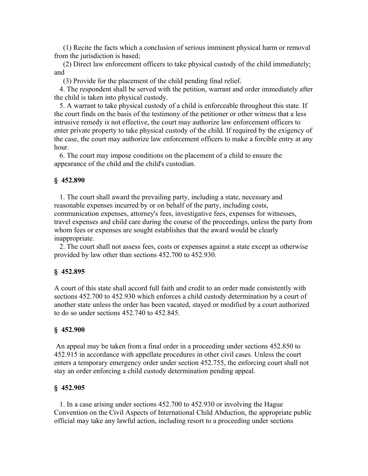(1) Recite the facts which a conclusion of serious imminent physical harm or removal from the jurisdiction is based;

 (2) Direct law enforcement officers to take physical custody of the child immediately; and

(3) Provide for the placement of the child pending final relief.

 4. The respondent shall be served with the petition, warrant and order immediately after the child is taken into physical custody.

 5. A warrant to take physical custody of a child is enforceable throughout this state. If the court finds on the basis of the testimony of the petitioner or other witness that a less intrusive remedy is not effective, the court may authorize law enforcement officers to enter private property to take physical custody of the child. If required by the exigency of the case, the court may authorize law enforcement officers to make a forcible entry at any hour.

 6. The court may impose conditions on the placement of a child to ensure the appearance of the child and the child's custodian.

#### **§ 452.890**

 1. The court shall award the prevailing party, including a state, necessary and reasonable expenses incurred by or on behalf of the party, including costs, communication expenses, attorney's fees, investigative fees, expenses for witnesses, travel expenses and child care during the course of the proceedings, unless the party from whom fees or expenses are sought establishes that the award would be clearly inappropriate.

 2. The court shall not assess fees, costs or expenses against a state except as otherwise provided by law other than sections 452.700 to 452.930.

#### **§ 452.895**

A court of this state shall accord full faith and credit to an order made consistently with sections 452.700 to 452.930 which enforces a child custody determination by a court of another state unless the order has been vacated, stayed or modified by a court authorized to do so under sections 452.740 to 452.845.

#### **§ 452.900**

 An appeal may be taken from a final order in a proceeding under sections 452.850 to 452.915 in accordance with appellate procedures in other civil cases. Unless the court enters a temporary emergency order under section 452.755, the enforcing court shall not stay an order enforcing a child custody determination pending appeal.

#### **§ 452.905**

 1. In a case arising under sections 452.700 to 452.930 or involving the Hague Convention on the Civil Aspects of International Child Abduction, the appropriate public official may take any lawful action, including resort to a proceeding under sections